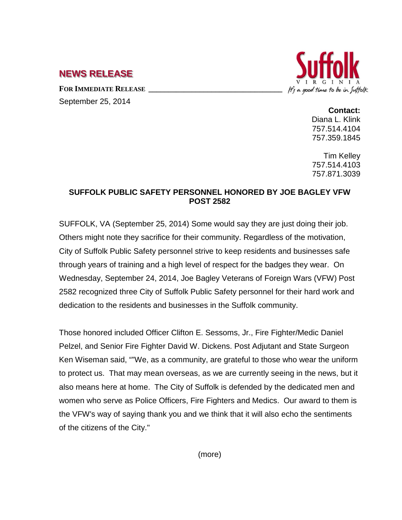## **NEWS RELEASE**

FOR **IMMEDIATE RELEASE** 





**Contact:** Diana L. Klink 757.514.4104 757.359.1845

Tim Kelley 757.514.4103 757.871.3039

## **SUFFOLK PUBLIC SAFETY PERSONNEL HONORED BY JOE BAGLEY VFW POST 2582**

SUFFOLK, VA (September 25, 2014) Some would say they are just doing their job. Others might note they sacrifice for their community. Regardless of the motivation, City of Suffolk Public Safety personnel strive to keep residents and businesses safe through years of training and a high level of respect for the badges they wear. On Wednesday, September 24, 2014, Joe Bagley Veterans of Foreign Wars (VFW) Post 2582 recognized three City of Suffolk Public Safety personnel for their hard work and dedication to the residents and businesses in the Suffolk community.

Those honored included Officer Clifton E. Sessoms, Jr., Fire Fighter/Medic Daniel Pelzel, and Senior Fire Fighter David W. Dickens. Post Adjutant and State Surgeon Ken Wiseman said, ""We, as a community, are grateful to those who wear the uniform to protect us. That may mean overseas, as we are currently seeing in the news, but it also means here at home. The City of Suffolk is defended by the dedicated men and women who serve as Police Officers, Fire Fighters and Medics. Our award to them is the VFW's way of saying thank you and we think that it will also echo the sentiments of the citizens of the City."

(more)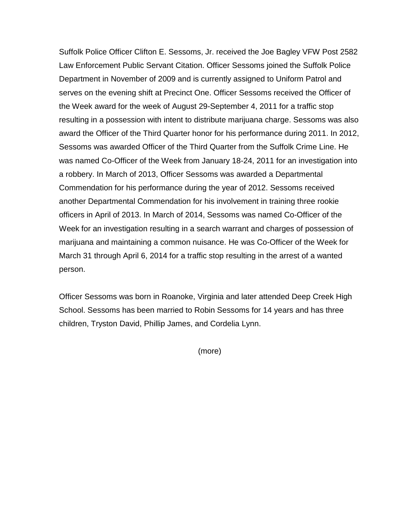Suffolk Police Officer Clifton E. Sessoms, Jr. received the Joe Bagley VFW Post 2582 Law Enforcement Public Servant Citation. Officer Sessoms joined the Suffolk Police Department in November of 2009 and is currently assigned to Uniform Patrol and serves on the evening shift at Precinct One. Officer Sessoms received the Officer of the Week award for the week of August 29-September 4, 2011 for a traffic stop resulting in a possession with intent to distribute marijuana charge. Sessoms was also award the Officer of the Third Quarter honor for his performance during 2011. In 2012, Sessoms was awarded Officer of the Third Quarter from the Suffolk Crime Line. He was named Co-Officer of the Week from January 18-24, 2011 for an investigation into a robbery. In March of 2013, Officer Sessoms was awarded a Departmental Commendation for his performance during the year of 2012. Sessoms received another Departmental Commendation for his involvement in training three rookie officers in April of 2013. In March of 2014, Sessoms was named Co-Officer of the Week for an investigation resulting in a search warrant and charges of possession of marijuana and maintaining a common nuisance. He was Co-Officer of the Week for March 31 through April 6, 2014 for a traffic stop resulting in the arrest of a wanted person.

Officer Sessoms was born in Roanoke, Virginia and later attended Deep Creek High School. Sessoms has been married to Robin Sessoms for 14 years and has three children, Tryston David, Phillip James, and Cordelia Lynn.

(more)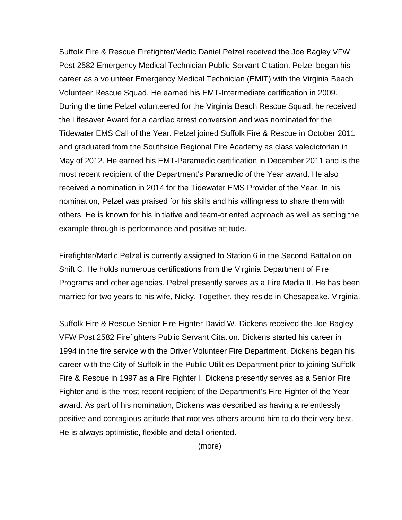Suffolk Fire & Rescue Firefighter/Medic Daniel Pelzel received the Joe Bagley VFW Post 2582 Emergency Medical Technician Public Servant Citation. Pelzel began his career as a volunteer Emergency Medical Technician (EMIT) with the Virginia Beach Volunteer Rescue Squad. He earned his EMT-Intermediate certification in 2009. During the time Pelzel volunteered for the Virginia Beach Rescue Squad, he received the Lifesaver Award for a cardiac arrest conversion and was nominated for the Tidewater EMS Call of the Year. Pelzel joined Suffolk Fire & Rescue in October 2011 and graduated from the Southside Regional Fire Academy as class valedictorian in May of 2012. He earned his EMT-Paramedic certification in December 2011 and is the most recent recipient of the Department's Paramedic of the Year award. He also received a nomination in 2014 for the Tidewater EMS Provider of the Year. In his nomination, Pelzel was praised for his skills and his willingness to share them with others. He is known for his initiative and team-oriented approach as well as setting the example through is performance and positive attitude.

Firefighter/Medic Pelzel is currently assigned to Station 6 in the Second Battalion on Shift C. He holds numerous certifications from the Virginia Department of Fire Programs and other agencies. Pelzel presently serves as a Fire Media II. He has been married for two years to his wife, Nicky. Together, they reside in Chesapeake, Virginia.

Suffolk Fire & Rescue Senior Fire Fighter David W. Dickens received the Joe Bagley VFW Post 2582 Firefighters Public Servant Citation. Dickens started his career in 1994 in the fire service with the Driver Volunteer Fire Department. Dickens began his career with the City of Suffolk in the Public Utilities Department prior to joining Suffolk Fire & Rescue in 1997 as a Fire Fighter I. Dickens presently serves as a Senior Fire Fighter and is the most recent recipient of the Department's Fire Fighter of the Year award. As part of his nomination, Dickens was described as having a relentlessly positive and contagious attitude that motives others around him to do their very best. He is always optimistic, flexible and detail oriented.

(more)